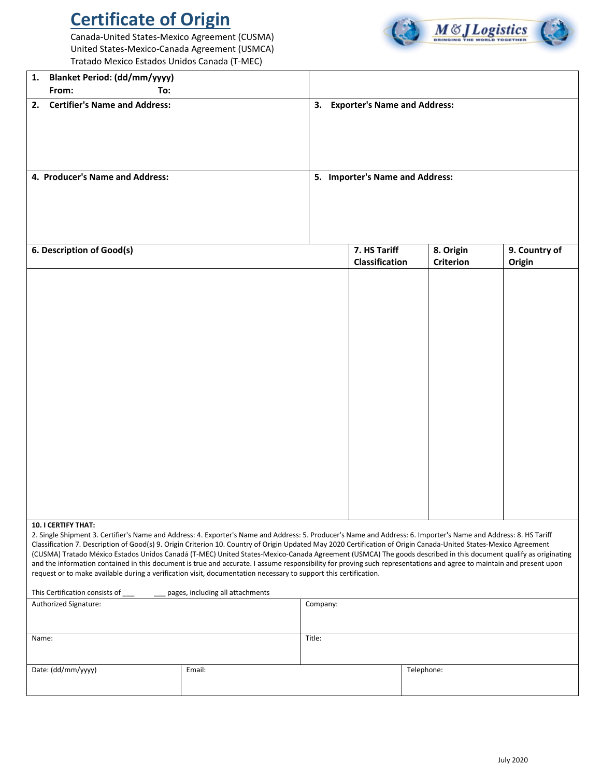## **Certificate of Origin**

Canada-United States-Mexico Agreement (CUSMA) United States-Mexico-Canada Agreement (USMCA) Tratado Mexico Estados Unidos Canada (T-MEC)



| 1. Blanket Period: (dd/mm/yyyy)                                                                                                                                  |  |  |                                 |                  |               |  |
|------------------------------------------------------------------------------------------------------------------------------------------------------------------|--|--|---------------------------------|------------------|---------------|--|
| To:<br>From:                                                                                                                                                     |  |  |                                 |                  |               |  |
| <b>Certifier's Name and Address:</b><br>2.                                                                                                                       |  |  | 3. Exporter's Name and Address: |                  |               |  |
| 4. Producer's Name and Address:                                                                                                                                  |  |  | 5. Importer's Name and Address: |                  |               |  |
| 6. Description of Good(s)                                                                                                                                        |  |  | 7. HS Tariff                    | 8. Origin        | 9. Country of |  |
|                                                                                                                                                                  |  |  | Classification                  | <b>Criterion</b> | Origin        |  |
|                                                                                                                                                                  |  |  |                                 |                  |               |  |
| <b>10. I CERTIFY THAT:</b>                                                                                                                                       |  |  |                                 |                  |               |  |
| 2. Single Shipment 3. Certifier's Name and Address: 4. Exporter's Name and Address: 5. Producer's Name and Address: 6. Importer's Name and Address: 8. HS Tariff |  |  |                                 |                  |               |  |

Classification 7. Description of Good(s) 9. Origin Criterion 10. Country of Origin Updated May 2020 Certification of Origin Canada-United States-Mexico Agreement (CUSMA) Tratado México Estados Unidos Canadá (T-MEC) United States-Mexico-Canada Agreement (USMCA) The goods described in this document qualify as originating and the information contained in this document is true and accurate. I assume responsibility for proving such representations and agree to maintain and present upon request or to make available during a verification visit, documentation necessary to support this certification.

| This Certification consists of | pages, including all attachments |          |            |
|--------------------------------|----------------------------------|----------|------------|
| Authorized Signature:          |                                  | Company: |            |
|                                |                                  |          |            |
|                                |                                  |          |            |
| Name:                          |                                  | Title:   |            |
|                                |                                  |          |            |
|                                |                                  |          |            |
| Date: (dd/mm/yyyy)             | Email:                           |          | Telephone: |
|                                |                                  |          |            |
|                                |                                  |          |            |